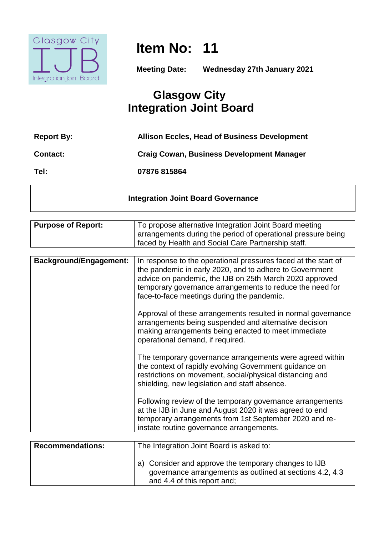

**Item No: 11**

**Meeting Date: Wednesday 27th January 2021**

# **Glasgow City Integration Joint Board**

| <b>Report By:</b> | <b>Allison Eccles, Head of Business Development</b> |
|-------------------|-----------------------------------------------------|
| <b>Contact:</b>   | <b>Craig Cowan, Business Development Manager</b>    |
| Tel:              | 07876 815864                                        |

## **Integration Joint Board Governance**

| <b>Purpose of Report:</b>     | To propose alternative Integration Joint Board meeting                                                                                                                                                                                                                                         |
|-------------------------------|------------------------------------------------------------------------------------------------------------------------------------------------------------------------------------------------------------------------------------------------------------------------------------------------|
|                               | arrangements during the period of operational pressure being                                                                                                                                                                                                                                   |
|                               | faced by Health and Social Care Partnership staff.                                                                                                                                                                                                                                             |
|                               |                                                                                                                                                                                                                                                                                                |
| <b>Background/Engagement:</b> | In response to the operational pressures faced at the start of<br>the pandemic in early 2020, and to adhere to Government<br>advice on pandemic, the IJB on 25th March 2020 approved<br>temporary governance arrangements to reduce the need for<br>face-to-face meetings during the pandemic. |
|                               | Approval of these arrangements resulted in normal governance<br>arrangements being suspended and alternative decision<br>making arrangements being enacted to meet immediate<br>operational demand, if required.                                                                               |
|                               | The temporary governance arrangements were agreed within<br>the context of rapidly evolving Government guidance on<br>restrictions on movement, social/physical distancing and<br>shielding, new legislation and staff absence.                                                                |
|                               | Following review of the temporary governance arrangements<br>at the IJB in June and August 2020 it was agreed to end<br>temporary arrangements from 1st September 2020 and re-<br>instate routine governance arrangements.                                                                     |
|                               |                                                                                                                                                                                                                                                                                                |
| <b>Recommendations:</b>       | The Integration Joint Board is asked to:                                                                                                                                                                                                                                                       |
|                               | a) Consider and approve the temporary changes to IJB<br>governance arrangements as outlined at sections 4.2, 4.3<br>and 4.4 of this report and;                                                                                                                                                |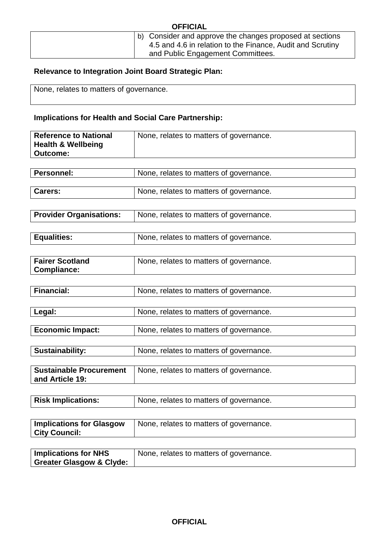| <b>OFFICIAL</b>                                                                                                                                             |
|-------------------------------------------------------------------------------------------------------------------------------------------------------------|
| b) Consider and approve the changes proposed at sections<br>4.5 and 4.6 in relation to the Finance, Audit and Scrutiny<br>and Public Engagement Committees. |

# **Relevance to Integration Joint Board Strategic Plan:**

None, relates to matters of governance.

**City Council:** 

# **Implications for Health and Social Care Partnership:**

| <b>Reference to National</b><br><b>Health &amp; Wellbeing</b><br><b>Outcome:</b> | None, relates to matters of governance. |
|----------------------------------------------------------------------------------|-----------------------------------------|
|                                                                                  |                                         |
| <b>Personnel:</b>                                                                | None, relates to matters of governance. |
| Carers:                                                                          | None, relates to matters of governance. |
|                                                                                  |                                         |
| <b>Provider Organisations:</b>                                                   | None, relates to matters of governance. |
|                                                                                  |                                         |
| <b>Equalities:</b>                                                               | None, relates to matters of governance. |
|                                                                                  |                                         |
| <b>Fairer Scotland</b><br><b>Compliance:</b>                                     | None, relates to matters of governance. |
|                                                                                  |                                         |
| <b>Financial:</b>                                                                | None, relates to matters of governance. |
|                                                                                  |                                         |
| Legal:                                                                           | None, relates to matters of governance. |
|                                                                                  |                                         |
| <b>Economic Impact:</b>                                                          | None, relates to matters of governance. |
|                                                                                  |                                         |
| <b>Sustainability:</b>                                                           | None, relates to matters of governance. |
| Sustainable Procurement<br>and Article 19:                                       | None, relates to matters of governance. |
|                                                                                  |                                         |
| <b>Risk Implications:</b>                                                        | None, relates to matters of governance. |
|                                                                                  |                                         |
| <b>Implications for Glasgow</b>                                                  | None, relates to matters of governance. |

| <b>Implications for NHS</b>         | None, relates to matters of governance. |
|-------------------------------------|-----------------------------------------|
| <b>Greater Glasgow &amp; Clyde:</b> |                                         |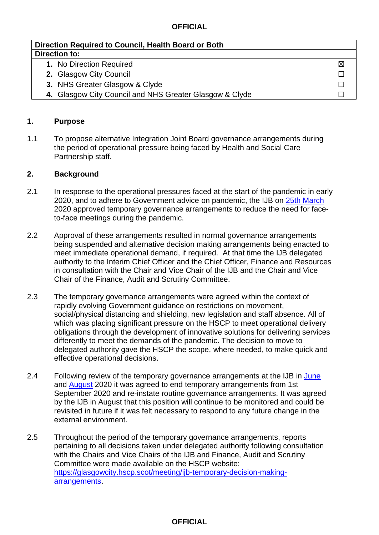#### **OFFICIAL**

| Direction Required to Council, Health Board or Both     |   |  |  |
|---------------------------------------------------------|---|--|--|
| Direction to:                                           |   |  |  |
| 1. No Direction Required                                | ⊠ |  |  |
| 2. Glasgow City Council                                 |   |  |  |
| 3. NHS Greater Glasgow & Clyde                          |   |  |  |
| 4. Glasgow City Council and NHS Greater Glasgow & Clyde |   |  |  |

#### **1. Purpose**

1.1 To propose alternative Integration Joint Board governance arrangements during the period of operational pressure being faced by Health and Social Care Partnership staff.

#### **2. Background**

- 2.1 In response to the operational pressures faced at the start of the pandemic in early 2020, and to adhere to Government advice on pandemic, the IJB on [25th March](https://glasgowcity.hscp.scot/sites/default/files/publications/Glasgow%20City%20IJB%20Temporary%20Decision%20Making%20Arrangements_0.pdf) 2020 approved temporary governance arrangements to reduce the need for faceto-face meetings during the pandemic.
- 2.2 Approval of these arrangements resulted in normal governance arrangements being suspended and alternative decision making arrangements being enacted to meet immediate operational demand, if required. At that time the IJB delegated authority to the Interim Chief Officer and the Chief Officer, Finance and Resources in consultation with the Chair and Vice Chair of the IJB and the Chair and Vice Chair of the Finance, Audit and Scrutiny Committee.
- 2.3 The temporary governance arrangements were agreed within the context of rapidly evolving Government guidance on restrictions on movement, social/physical distancing and shielding, new legislation and staff absence. All of which was placing significant pressure on the HSCP to meet operational delivery obligations through the development of innovative solutions for delivering services differently to meet the demands of the pandemic. The decision to move to delegated authority gave the HSCP the scope, where needed, to make quick and effective operational decisions.
- 2.4 Following review of the temporary governance arrangements at the IJB in [June](https://glasgowcity.hscp.scot/sites/default/files/publications/ITEM%20No%2007%20-%20Glasgow%20City%20IJB%20-%20Temporary%20Governance%20Arrangements_0_0.pdf) and [August](https://glasgowcity.hscp.scot/sites/default/files/publications/Glasgow%20City%20IJB%20-%20Temporary%20Governance%20Arrangements.pdf) 2020 it was agreed to end temporary arrangements from 1st September 2020 and re-instate routine governance arrangements. It was agreed by the IJB in August that this position will continue to be monitored and could be revisited in future if it was felt necessary to respond to any future change in the external environment.
- 2.5 Throughout the period of the temporary governance arrangements, reports pertaining to all decisions taken under delegated authority following consultation with the Chairs and Vice Chairs of the IJB and Finance, Audit and Scrutiny Committee were made available on the HSCP website: [https://glasgowcity.hscp.scot/meeting/ijb-temporary-decision-making](https://glasgowcity.hscp.scot/meeting/ijb-temporary-decision-making-arrangements)[arrangements.](https://glasgowcity.hscp.scot/meeting/ijb-temporary-decision-making-arrangements)

#### **OFFICIAL**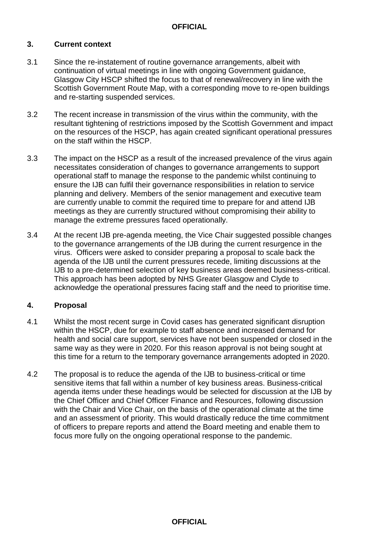## **3. Current context**

- 3.1 Since the re-instatement of routine governance arrangements, albeit with continuation of virtual meetings in line with ongoing Government guidance, Glasgow City HSCP shifted the focus to that of renewal/recovery in line with the Scottish Government Route Map, with a corresponding move to re-open buildings and re-starting suspended services.
- 3.2 The recent increase in transmission of the virus within the community, with the resultant tightening of restrictions imposed by the Scottish Government and impact on the resources of the HSCP, has again created significant operational pressures on the staff within the HSCP.
- 3.3 The impact on the HSCP as a result of the increased prevalence of the virus again necessitates consideration of changes to governance arrangements to support operational staff to manage the response to the pandemic whilst continuing to ensure the IJB can fulfil their governance responsibilities in relation to service planning and delivery. Members of the senior management and executive team are currently unable to commit the required time to prepare for and attend IJB meetings as they are currently structured without compromising their ability to manage the extreme pressures faced operationally.
- 3.4 At the recent IJB pre-agenda meeting, the Vice Chair suggested possible changes to the governance arrangements of the IJB during the current resurgence in the virus. Officers were asked to consider preparing a proposal to scale back the agenda of the IJB until the current pressures recede, limiting discussions at the IJB to a pre-determined selection of key business areas deemed business-critical. This approach has been adopted by NHS Greater Glasgow and Clyde to acknowledge the operational pressures facing staff and the need to prioritise time.

#### **4. Proposal**

- 4.1 Whilst the most recent surge in Covid cases has generated significant disruption within the HSCP, due for example to staff absence and increased demand for health and social care support, services have not been suspended or closed in the same way as they were in 2020. For this reason approval is not being sought at this time for a return to the temporary governance arrangements adopted in 2020.
- 4.2 The proposal is to reduce the agenda of the IJB to business-critical or time sensitive items that fall within a number of key business areas. Business-critical agenda items under these headings would be selected for discussion at the IJB by the Chief Officer and Chief Officer Finance and Resources, following discussion with the Chair and Vice Chair, on the basis of the operational climate at the time and an assessment of priority. This would drastically reduce the time commitment of officers to prepare reports and attend the Board meeting and enable them to focus more fully on the ongoing operational response to the pandemic.

# **OFFICIAL**